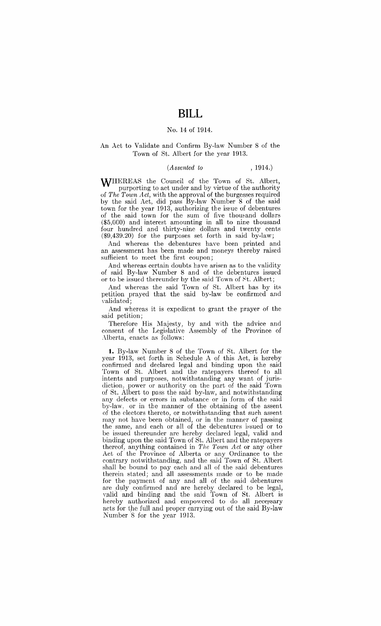### No. 14 of 1914.

#### An Act to Validate and Confirm By-law Number 8 of the Town of St. Albert for the year 1913.

### *(Assented to* , 1914.)

WHEREAS the Council of the Town of St. Albert, purporting to act under and by virtue of the authority of *The Town Act,* with the approval of the burgesses required by the said Act, did pass By-law Number 8 of the said town for the year 1913, authorizing the issue of debentures of the said town for the sum of five thomand dollars (\$5,000) and interest amounting in all to nine thousand four hundred and thirty-nine dollars and twenty cents (\$9,439.20) for the purposes set forth in said by-law;

And whereas the debentures have been printed and an assessment has been made and moneys thereby raised sufficient to meet the first coupon;

And whereas certain doubts have arisen as to the validity of said By-law Number 8 and of the debentures issued or to be issued thereunder by the said Town of St. Albert;

And whereas the said Town of St. Albert has by its petition prayed that the said by-law be confirmed" and \'alidated;

And whereas it is expedient to grant the prayer of the said petition;

Therefore His Majesty, by and with the advice and consent of the Legislative Assembly of the Province of Alberta, enacts as follows:

**l.** By-law Number 8 of the Town of St. Albert for the year 1913, set forth in Schedule A of this Act, is hereby confirmed and declared legal and binding upon the said Town of St. Albert and the ratepayers thereof to all intents and purposes, notwithstanding any want of jurisdiction: power or authority on the part of the said Town of St. Albert to pass the said by-law, and notwithstanding any defects or errors in substance or in form of the said by-law, or in the manner of the obtaining of the assent of the electors thereto, or notwithstanding that such assent may not have been obtained, or in the manner of passing the same, and each or all of the debentures issued or to be issued thereunder are hereby declared legal, valid and binding upon the said Town of St. Albert and the ratepayers thereof, anything contained in *The Town Act* or any other Act of the Province of Alberta or any Ordinance to the contrary notwithstanding, and the said Town of St. Albert shall be bound to pay each and all of the said debentures therein stated; and all assessments made or to be made for the payment of any and all of the said debentures are duly confirmed and are hereby declared io be legal, valid and binding and the said Town of St. Albert is hereby authorized and empowered to do all necessary acts for the full and proper carrying out of the said By-law Number 8 for the year 1913.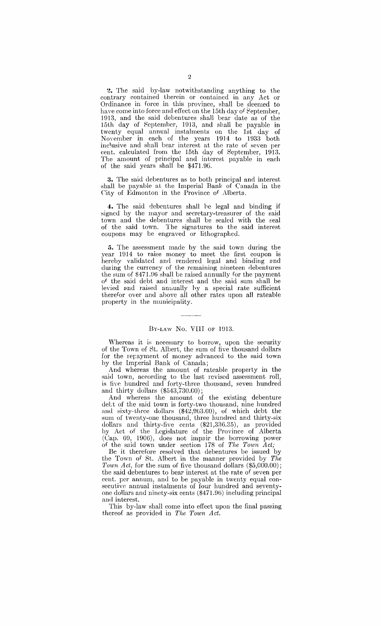2. The said by-law notwithstanding anything to the contrary contained therein or contained in any Act or Ordinance in force in this province, shall be ,deemed to have come into force and effect on the 15th day of September, 1913, and the said debentures shall bear date as of the 15th day of Septemher, 1013, and shall be payable in twenty equal annual instalments on the 1st day of Noyernber ip. each of the years 1914 to 1933 both inclusive and shall bear interest at the rate of seven per cent. calculated from the 15th day of September, 1913. The amount of principal and interest payable in each of the said years shall be \$471.9G.

3. The said debentures as to both principal and interest shall be payable at the Imperial Bank of Canada in the Gity of Edmonton in the Province of Alberta.

4. The said debentures shall he legal and binding if signed by the mayor and secretary-treasurer of the said town and the debentures shall be sealed with the seal of the said town. The signatures to the said interest coupons may be engraved or lithographed.

**5.** The assessment made by the said town during the year 1914 to raise money to meet the first coupon is hereby validated and rendered legal and binding and during the currency of the remaining nineteen debentures the sum of \$471.96 shall be raised annually for the payment of the said debt and interest and the said sum shall be levied and raised annually by a special rate sufficient therefor over and above all other rates upon all rateable property in the municipality.

#### BY-LAW No. VIII OF 1913.

Whereas it is necessary to borrow, upon the security of the Town of St. Albert, the sum of five thousand dollars for the repayment of money advanced to the said town by the Imperial Bank of Canada;

And whereas the amount of rateable property in the said town, according to the last revised assessment roll, is five hundred and forty-three thousand, seven hundred and thirty dollars  $(*543,730.00);$ 

And whereas the amount of the existing debenture dett of the said town is forty-two thousand, nine hundred and sixty-three dollars (\$42,963.00), of which debt the sum of twenty-one thousand, three hundred and thirty-six dollars and thirty-five cents (\$21,33G.35), as provided by Act of the Legislature of the Province of Alberta (Cap. G9, 190G), does not impair the borrowing power of the said town under section 178 of *'Phe Town Act;* 

Be it therefore resolved that debentures be issued by the Town of St. Alhert in the manner provided by *The*  Town Act, for the sum of five thousand dollars  $(\$5,000.00)$ ; the said debentures to bear interest at the rate of seven per cent. per annum, and to be payable in twenty equal consecutive annual instalments of four hundred and seventyone dollars and ninety-six cents (\$471.96) including principal and interest.

This by-law shall come into effect upon the final passing thereof as provided in *The Town Act*.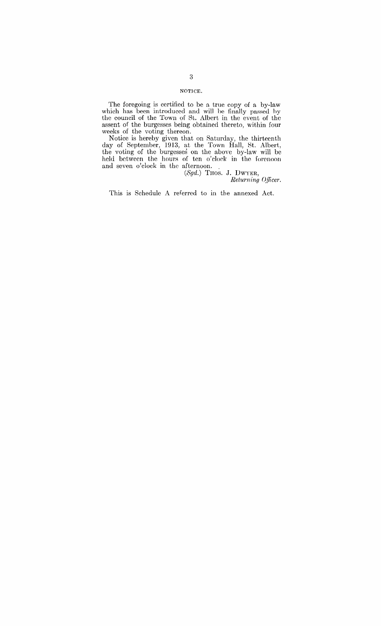## NOTlCE.

The foregoing is certified to be a true copy of a by-law which has been introduced and will be finally passed hy the council of the Town of St. Albert in the event of the assent of the burgesses being obtained thereto, within four weeks of the voting thereon.

Notice is hereby given that on Saturday, the thirteenth day of September, 1913, at the Town Hall, St. Albert, the voting of the burgesses on the above by-law will be held between the hours of ten o'clock in the forenoon and seven o'clock in the afternoon. .

(,5gd.) THOS. J. DWYER,  $Returning$  Officer.

This is Schedule A referred to in the annexed Act.